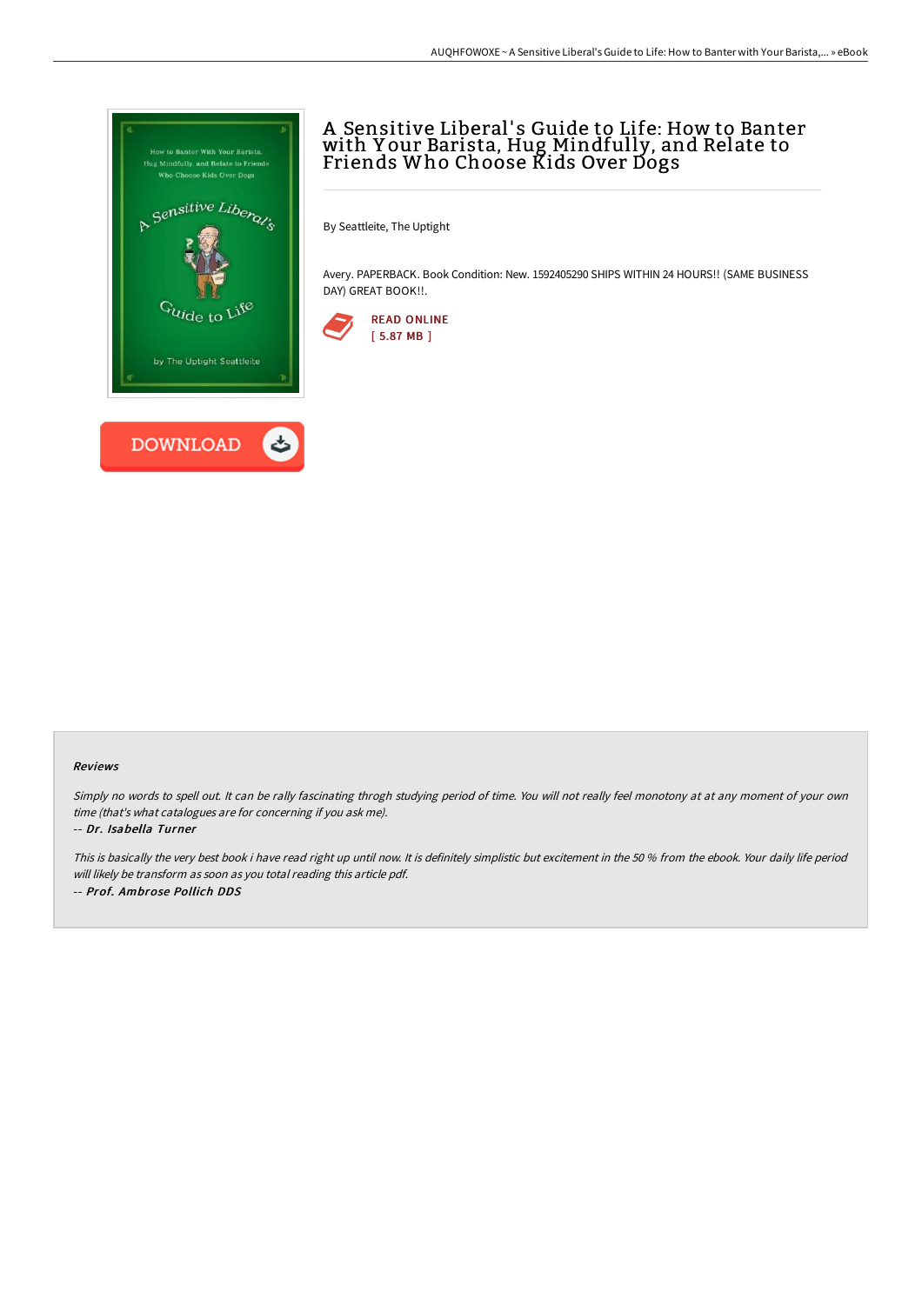

# A Sensitive Liberal' s Guide to Life: How to Banter with Y our Barista, Hug Mindfully, and Relate to Friends Who Choose Kids Over Dogs

By Seattleite, The Uptight

Avery. PAPERBACK. Book Condition: New. 1592405290 SHIPS WITHIN 24 HOURS!! (SAME BUSINESS DAY) GREAT BOOK!!.



### Reviews

Simply no words to spell out. It can be rally fascinating throgh studying period of time. You will not really feel monotony at at any moment of your own time (that's what catalogues are for concerning if you ask me).

#### -- Dr. Isabella Turner

This is basically the very best book i have read right up until now. It is definitely simplistic but excitement in the <sup>50</sup> % from the ebook. Your daily life period will likely be transform as soon as you total reading this article pdf. -- Prof. Ambrose Pollich DDS